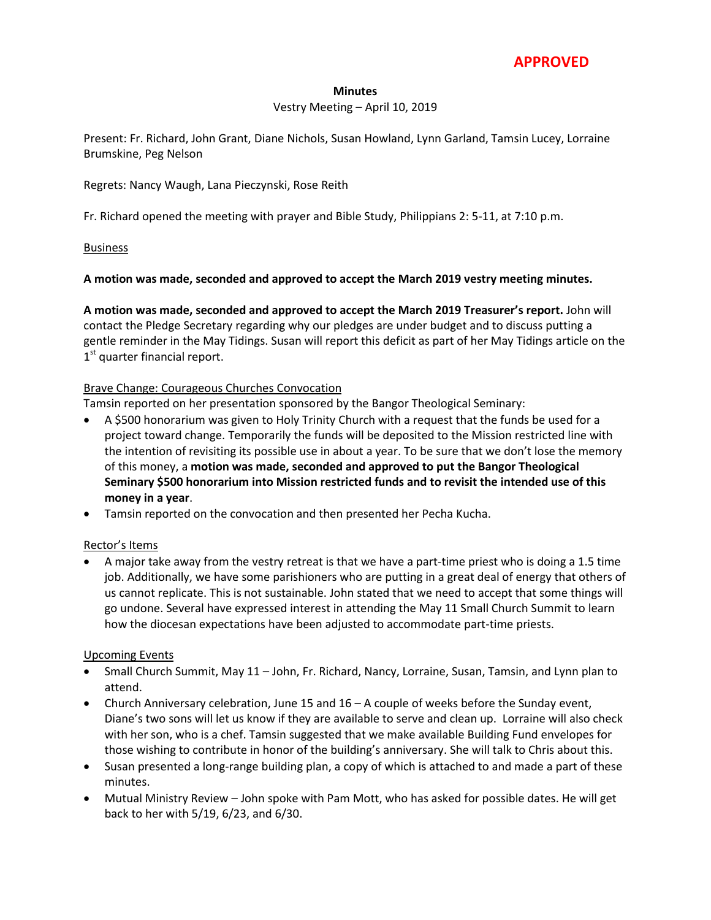## **APPROVED**

#### **Minutes**

### Vestry Meeting – April 10, 2019

Present: Fr. Richard, John Grant, Diane Nichols, Susan Howland, Lynn Garland, Tamsin Lucey, Lorraine Brumskine, Peg Nelson

### Regrets: Nancy Waugh, Lana Pieczynski, Rose Reith

Fr. Richard opened the meeting with prayer and Bible Study, Philippians 2: 5-11, at 7:10 p.m.

### Business

### **A motion was made, seconded and approved to accept the March 2019 vestry meeting minutes.**

**A motion was made, seconded and approved to accept the March 2019 Treasurer's report.** John will contact the Pledge Secretary regarding why our pledges are under budget and to discuss putting a gentle reminder in the May Tidings. Susan will report this deficit as part of her May Tidings article on the 1<sup>st</sup> quarter financial report.

### Brave Change: Courageous Churches Convocation

Tamsin reported on her presentation sponsored by the Bangor Theological Seminary:

- A \$500 honorarium was given to Holy Trinity Church with a request that the funds be used for a project toward change. Temporarily the funds will be deposited to the Mission restricted line with the intention of revisiting its possible use in about a year. To be sure that we don't lose the memory of this money, a **motion was made, seconded and approved to put the Bangor Theological Seminary \$500 honorarium into Mission restricted funds and to revisit the intended use of this money in a year**.
- Tamsin reported on the convocation and then presented her Pecha Kucha.

#### Rector's Items

 A major take away from the vestry retreat is that we have a part-time priest who is doing a 1.5 time job. Additionally, we have some parishioners who are putting in a great deal of energy that others of us cannot replicate. This is not sustainable. John stated that we need to accept that some things will go undone. Several have expressed interest in attending the May 11 Small Church Summit to learn how the diocesan expectations have been adjusted to accommodate part-time priests.

### Upcoming Events

- Small Church Summit, May 11 John, Fr. Richard, Nancy, Lorraine, Susan, Tamsin, and Lynn plan to attend.
- Church Anniversary celebration, June 15 and 16 A couple of weeks before the Sunday event, Diane's two sons will let us know if they are available to serve and clean up. Lorraine will also check with her son, who is a chef. Tamsin suggested that we make available Building Fund envelopes for those wishing to contribute in honor of the building's anniversary. She will talk to Chris about this.
- Susan presented a long-range building plan, a copy of which is attached to and made a part of these minutes.
- Mutual Ministry Review John spoke with Pam Mott, who has asked for possible dates. He will get back to her with 5/19, 6/23, and 6/30.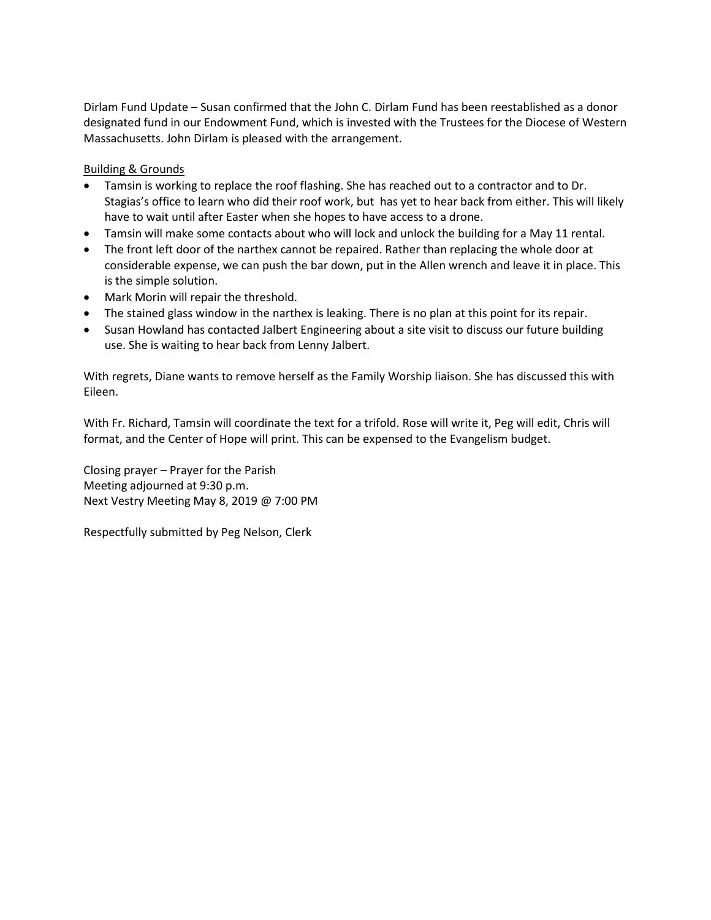Dirlam Fund Update – Susan confirmed that the John C. Dirlam Fund has been reestablished as a donor designated fund in our Endowment Fund, which is invested with the Trustees for the Diocese of Western Massachusetts. John Dirlam is pleased with the arrangement.

### Building & Grounds

- Tamsin is working to replace the roof flashing. She has reached out to a contractor and to Dr. Stagias's office to learn who did their roof work, but has yet to hear back from either. This will likely have to wait until after Easter when she hopes to have access to a drone.
- Tamsin will make some contacts about who will lock and unlock the building for a May 11 rental.
- The front left door of the narthex cannot be repaired. Rather than replacing the whole door at considerable expense, we can push the bar down, put in the Allen wrench and leave it in place. This is the simple solution.
- Mark Morin will repair the threshold.
- The stained glass window in the narthex is leaking. There is no plan at this point for its repair.
- Susan Howland has contacted Jalbert Engineering about a site visit to discuss our future building use. She is waiting to hear back from Lenny Jalbert.

With regrets, Diane wants to remove herself as the Family Worship liaison. She has discussed this with Eileen.

With Fr. Richard, Tamsin will coordinate the text for a trifold. Rose will write it, Peg will edit, Chris will format, and the Center of Hope will print. This can be expensed to the Evangelism budget.

Closing prayer – Prayer for the Parish Meeting adjourned at 9:30 p.m. Next Vestry Meeting May 8, 2019 @ 7:00 PM

Respectfully submitted by Peg Nelson, Clerk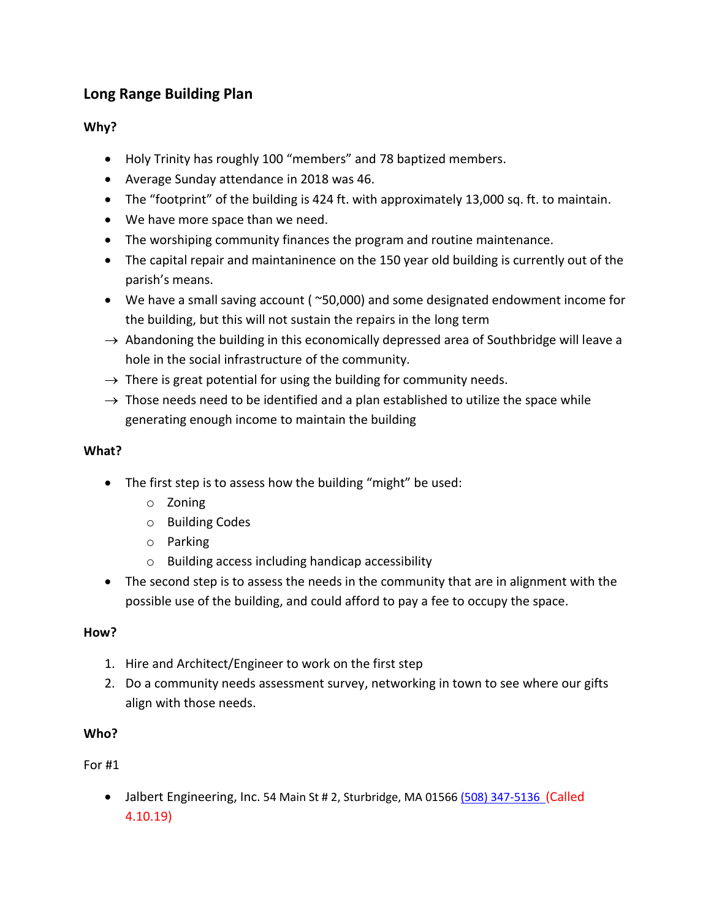# **Long Range Building Plan**

## **Why?**

- Holy Trinity has roughly 100 "members" and 78 baptized members.
- Average Sunday attendance in 2018 was 46.
- The "footprint" of the building is 424 ft. with approximately 13,000 sq. ft. to maintain.
- We have more space than we need.
- The worshiping community finances the program and routine maintenance.
- The capital repair and maintaninence on the 150 year old building is currently out of the parish's means.
- We have a small saving account ( ~50,000) and some designated endowment income for the building, but this will not sustain the repairs in the long term
- $\rightarrow$  Abandoning the building in this economically depressed area of Southbridge will leave a hole in the social infrastructure of the community.
- $\rightarrow$  There is great potential for using the building for community needs.
- $\rightarrow$  Those needs need to be identified and a plan established to utilize the space while generating enough income to maintain the building

## **What?**

- The first step is to assess how the building "might" be used:
	- o Zoning
	- o Building Codes
	- o Parking
	- o Building access including handicap accessibility
- The second step is to assess the needs in the community that are in alignment with the possible use of the building, and could afford to pay a fee to occupy the space.

## **How?**

- 1. Hire and Architect/Engineer to work on the first step
- 2. Do a community needs assessment survey, networking in town to see where our gifts align with those needs.

## **Who?**

## For #1

• Jalbert Engineering, Inc. 54 Main St # 2, Sturbridge, MA 0156[6 \(508\) 347-5136](https://www.google.com/search?client=firefox-b-1-d&q=Jalbert+Engineering) (Called 4.10.19)